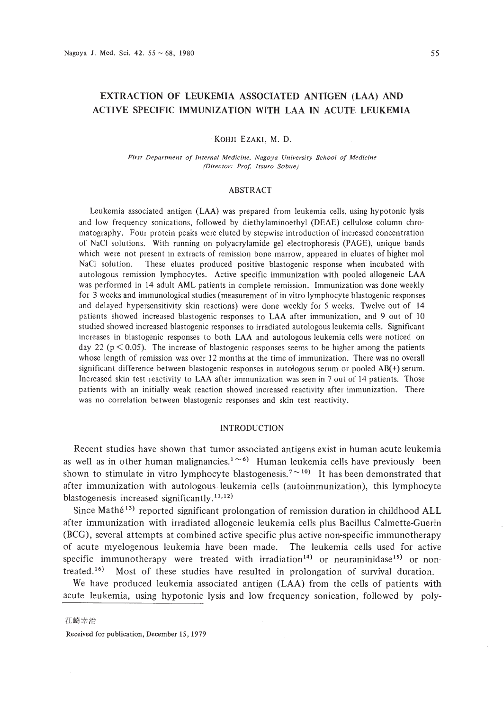# EXTRACTION OF LEUKEMIA ASSOCIATED ANTIGEN (LAA) AND ACTIVE SPECIFIC IMMUNIZATION WITH LAA IN ACUTE LEUKEMIA

### KOHJI EZAKI, M. D.

*First Department of Internal Medicine. Nagoya University School of Medicine (Director: Prof. Itsuro Sobue)*

### ABSTRACT

Leukemia associated antigen (LAA) was prepared from leukemia cells, using hypotonic lysis and low frequency sonications, followed by diethylaminoethyl (DEAE) cellulose column chromatography. Four protein peaks were eluted by stepwise introduction of increased concentration of NaCl solutions. With running on polyacrylamide gel electrophoresis (PAGE), unique bands which were not present in extracts of remission bone marrow, appeared in eluates of higher mol NaCl solution. These eluates produced positive blastogenic response when incubated with autologous remission lymphocytes. Active specific immunization with pooled allogeneic LAA was performed in 14 adult AML patients in complete remission. Immunization was done weekly for 3 weeks and immunological studies (measurement of in vitro lymphocyte blastogenic responses and delayed hypersensitivity skin reactions) were done weekly for 5 weeks. Twelve out of 14 patients showed increased blastogenic responses to LAA after immunization, and 9 out of 10 studied showed increased blastogenic responses to irradiated autologous leukemia cells. Significant increases in blastogenic responses to both LAA and autologous leukemia cells were noticed on day 22 ( $p < 0.05$ ). The increase of blastogenic responses seems to be higher among the patients whose length of remission was over 12 months at the time of immunization. There was no overall significant difference between blastogenic responses in autologous serum or pooled AB(+) serum. Increased skin test reactivity to LAA after immunization was seen in 7 out of 14 patients. Those patients with an initially weak reaction showed increased reactivity after immunization. There was no correlation between blastogenic responses and skin test reactivity.

### INTRODUCTION

Recent studies have shown that tumor associated antigens exist in human acute leukemia as well as in other human malignancies.<sup>1 $\sim$ 6</sup>) Human leukemia cells have previously been shown to stimulate in vitro lymphocyte blastogenesis.<sup>7 $\sim$ 10)</sup> It has been demonstrated that after immunization with autologous leukemia cells (autoimmunization), this lymphocyte blastogenesis increased significantly.<sup>11,12)</sup>

Since Mathé<sup>13)</sup> reported significant prolongation of remission duration in childhood ALL after immunization with irradiated allogeneic leukemia cells plus Bacillus Calmette-Guerin (BCG), several attempts at combined active specific plus active non~specific immunotherapy of acute myelogenous leukemia have been made. The leukemia cells used for active specific immunotherapy were treated with irradiation<sup>14)</sup> or neuraminidase<sup>15)</sup> or nontreated.<sup>16)</sup> Most of these studies have resulted in prolongation of survival duration.

We have produced leukemia associated antigen (LAA) from the cells of patients with acute leukemia, using hypotonic lysis and low frequency sonication, followed by poly-

江崎幸治

Received for publication, December IS, 1979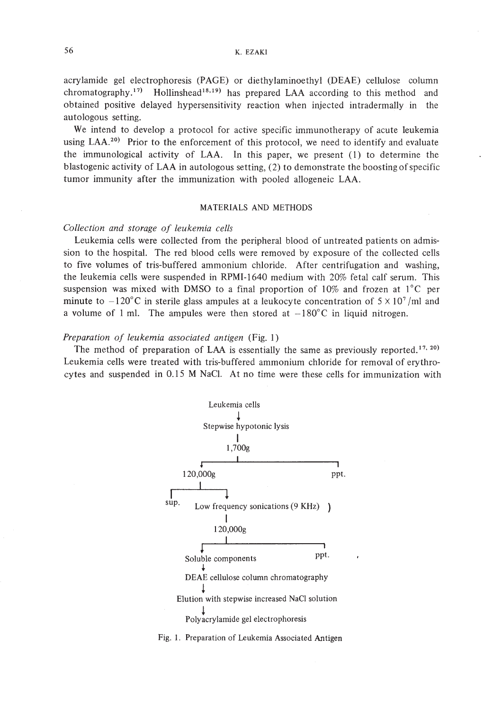acrylamide gel electrophoresis (PAGE) or diethylaminoethyl (DEAE) cellulose column chromatography.<sup>17)</sup> Hollinshead<sup>18,19</sup> has prepared LAA according to this method and obtained positive delayed hypersensitivity reaction when injected intradermally in the autologous setting.

We intend to develop a protocol for active specific immunotherapy of acute leukemia using LAA.<sup>20)</sup> Prior to the enforcement of this protocol, we need to identify and evaluate the immunological activity of LAA. In this paper, we present (1) to determine the blastogenic activity of LAA in autologous setting,  $(2)$  to demonstrate the boosting of specific tumor immunity after the immunization with pooled allogeneic LAA.

### MATERIALS AND METHODS

### *Collection and storage of leukemia cells*

Leukemia cells were collected from the peripheral blood of untreated patients on admission to the hospital. The red blood cells were removed by exposure of the collected cells to five volumes of tris-buffered ammonium chloride. After centrifugation and washing, the leukemia cells were suspended in RPMI-1640 medium with 20% fetal calf serum. This suspension was mixed with DMSO to a final proportion of  $10\%$  and frozen at  $1^{\circ}$ C per minute to  $-120^{\circ}$ C in sterile glass ampules at a leukocyte concentration of  $5 \times 10^{7}$ /ml and a volume of 1 ml. The ampules were then stored at  $-180^{\circ}$ C in liquid nitrogen.

### *Preparation of leukemia associated antigen* (Fig. 1)

The method of preparation of LAA is essentially the same as previously reported.<sup>17, 20)</sup> Leukemia cells were treated with tris-buffered ammonium chloride for removal of erythrocytes and suspended in 0.15 M NaC!. At no time were these cells for immunization with



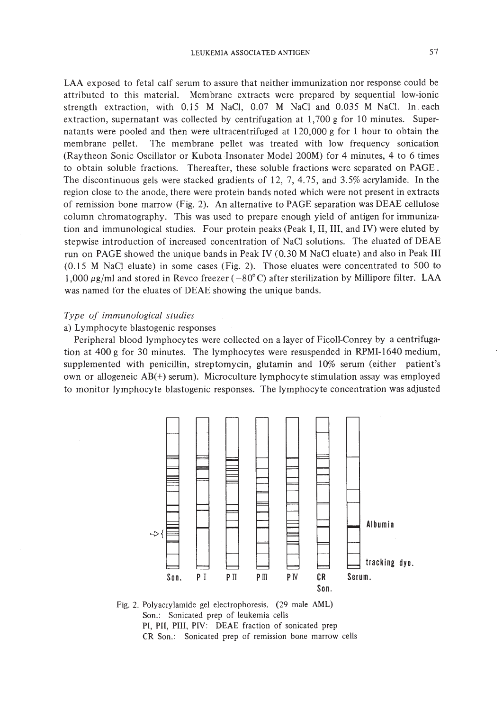LAA exposed to fetal calf serum to assure that neither immunization nor response could be attributed to this material. Membrane extracts were prepared by sequential low-ionic strength extraction, with 0.15 M NaCl, 0.07 M NaCl and 0.035 M NaCl. In. each extraction, supernatant was collected by centrifugation at 1,700 g for 10 minutes. Supernatants were pooled and then were ultracentrifuged at 120,000 g for I hour to obtain the membrane pellet. The membrane pellet was treated with low frequency sonication (Raytheon Sonic Oscillator or Kubota Insonater Model 200M) for 4 minutes, 4 to 6 times to obtain soluble fractions. Thereafter, these soluble fractions were separated on PAGE. The discontinuous gels were stacked gradients of 12, 7, 4.75, and 3.5% acrylamide. In the region close to the anode, there were protein bands noted which were not present in extracts of remission bone marrow (Fig. 2). An alternative to PAGE separation was DEAE ceIlulose column chromatography. This was used to prepare enough yield of antigen for immunization and immunological studies. Four protein peaks (Peak I, II, III, and IV) were eluted by stepwise introduction of increased concentration of NaCI solutions. The eluated of DEAE run on PAGE showed the unique bands in Peak IV (0.30 M NaCI eluate) and also in Peak III (0.15 M NaCI eluate) in some cases (Fig. 2). Those eluates were concentrated to 500 to 1,000  $\mu$ g/ml and stored in Revco freezer (-80°C) after sterilization by Millipore filter. LAA was named for the eluates of DEAE showing the unique bands.

### *Type of immunological studies*

### a) Lymphocyte blastogenic responses

Peripheral blood lymphocytes were coIlected on a layer of FicoIl-Conrey by a centrifugation at 400 g for 30 minutes. The lymphocytes were resuspended in RPMI-1640 medium, supplemented with penicillin, streptomycin, glutamin and 10% serum (either patient's own or allogeneic AB(+) serum). Microculture lymphocyte stimulation assay was employed to monitor lymphocyte blastogenic responses. The lymphocyte concentration was adjusted



Fig. 2. Polyacrylamide gel electrophoresis. (29 male AML) Son.: Sonicated prep of leukemia cells PI, PII, PIlI, PlY: DEAE fraction of sonicated prep CR Son.: Sonicated prep of remission bone marrow cells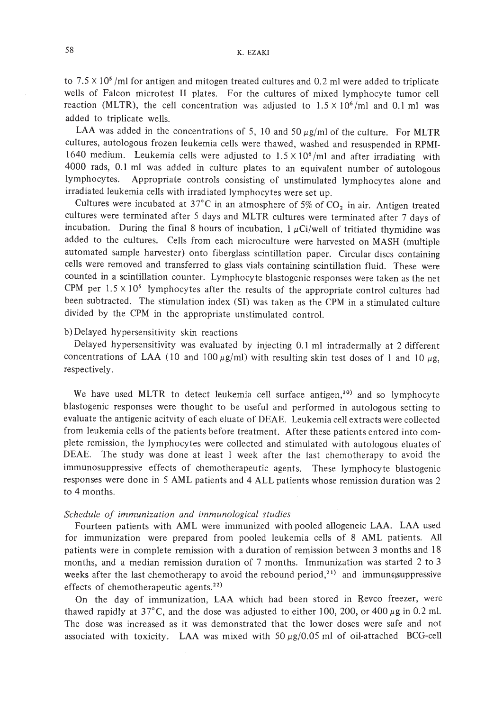to  $7.5 \times 10^5$  /ml for antigen and mitogen treated cultures and 0.2 ml were added to triplicate wells of Falcon microtest II plates. For the cultures of mixed lymphocyte tumor cell reaction (MLTR), the cell concentration was adjusted to  $1.5 \times 10^6$  /ml and 0.1 ml was added to triplicate wells.

LAA was added in the concentrations of 5, 10 and 50  $\mu$ g/ml of the culture. For MLTR cultures, autologous frozen leukemia cells were thawed, washed and resuspended in RPMI-1640 medium. Leukemia cells were adjusted to  $1.5 \times 10^6$  /ml and after irradiating with 4000 rads, 0.1 ml was added in culture plates to an equivalent number of autologous lymphocytes. Appropriate controls consisting of unstimulated lymphocytes alone and irradiated leukemia cells with irradiated lymphocytes were set up.

Cultures were incubated at 37°C in an atmosphere of 5% of  $CO<sub>2</sub>$  in air. Antigen treated cultures were terminated after 5 days and MLTR cultures were terminated after 7 days of incubation. During the final 8 hours of incubation,  $1 \mu$ Ci/well of tritiated thymidine was added to the cultures. Cells from each microculture were harvested on MASH (multiple automated sample harvester) onto fiberglass scintillation paper. Circular discs containing cells were removed and transferred to glass vials containing scintillation fluid. These were counted in a scintillation counter. Lymphocyte blastogenic responses were taken as the net CPM per  $1.5 \times 10^5$  lymphocytes after the results of the appropriate control cultures had been subtracted. The stimulation index (SI) was taken as the CPM in a stimulated culture divided by the CPM in the appropriate unstimulated control.

# b) Delayed hypersensitivity skin reactions

Delayed hypersensitivity was evaluated by injecting 0.1 ml intradermally at 2 different concentrations of LAA (10 and 100  $\mu$ g/ml) with resulting skin test doses of 1 and 10  $\mu$ g, respectively.

We have used MLTR to detect leukemia cell surface antigen,<sup>10)</sup> and so lymphocyte blastogenic responses were thought to be useful and performed in autologous setting to evaluate the antigenic acitvity of each eluate of DEAE. Leukemia cell extracts were collected from leukemia cells of the patients before treatment. After these patients entered into complete remission, the lymphocytes were collected and stimulated with autologous eluates of DEAE. The study was done at least I week after the last chemotherapy to avoid the immunosuppressive effects of chemotherapeutic agents. These lymphocyte blastogenic responses were done in 5 AML patients and 4 ALL patients whose remission duration was 2 to 4 months.

### *Schedule of immunization and immunological studies*

Fourteen patients with AML were immunized with pooled allogeneic LAA. LAA used for immunization were prepared from pooled leukemia cells of 8 AML patients. All patients were in complete remission with a duration of remission between 3 months and 18 months, and a median remission duration of 7 months. Immunization was started 2 to 3 weeks after the last chemotherapy to avoid the rebound period,<sup>21)</sup> and immunesuppressive effects of chemotherapeutic agents.<sup>22)</sup>

On the day of immunization, LAA which had been stored in Revco freezer, were thawed rapidly at  $37^{\circ}$ C, and the dose was adjusted to either 100, 200, or 400  $\mu$ g in 0.2 ml. The dose was increased as it was demonstrated that the lower doses were safe and not associated with toxicity. LAA was mixed with  $50 \mu g/0.05$  ml of oil-attached BCG-cell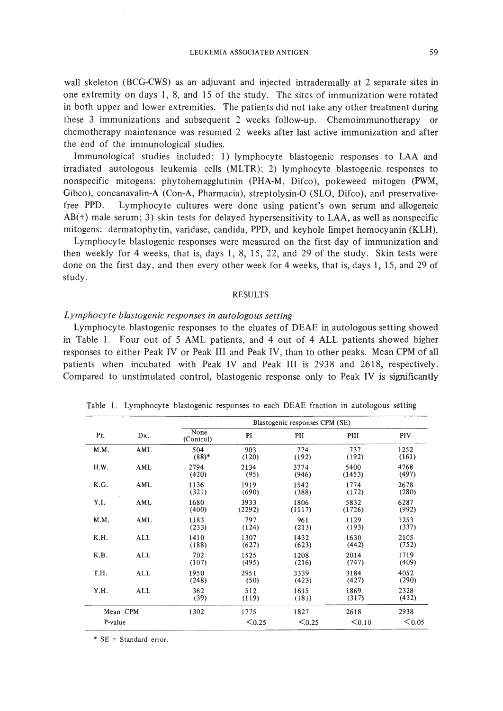wall skeleton (BCG-CWS) as an adjuvant and injected intradermally at 2 separate sites in one extremity on days I, 8, and 15 of the study. The sites of immunization were rotated in both upper and lower extremities. The patients did not take any other treatment during these 3 immunizations and subsequent 2 weeks follow-up. Chemoimmunotherapy or chemotherapy maintenance was resumed 2 weeks after last active immunization and after the end of the immunological studies.

Immunological studies included; I) lymphocyte blastogenic responses to LAA and irradiated autologous leukemia cells (MLTR); 2) lymphocyte blastogenic responses to nonspecific mitogens: phytohemagglutinin (PHA-M, Difco), pokeweed mitogen (PWM, Gibco), concanavalin-A (Con-A, Pharmacia), streptolysin-O (SLO, Difco), and preservativefree PPD. Lymphocyte cultures were done using patient's own serum and allogeneic AB(+) male serum; 3) skin tests for delayed hypersensitivity to LAA, as well as nonspecific mitogens: dermatophytin, varidase, candida, PPD, and keyhole fimpet hemocyanin (KLH).

Lymphocyte blastogenic responses were measured on the first day of immunization and then weekly for 4 weeks, that is, days I, 8, 15, 22, and 29 of the study. Skin tests were done on the first day, and then every other week for 4 weeks, that is, days I, IS, and 29 of study.

### RESULTS

### *Lymphocyte blastogenic responses in autologous setting*

Lymphocyte blastogenic responses to the eluates of DEAE in autologous setting showed in Table I. Four out of 5 AML patients, and 4 out of 4 ALL patients showed higher responses to either Peak IV or Peak III and Peak IV, than to other peaks. Mean CPM of all patients when incubated with Peak IV and Peak III is 2938 and 2618, respectively. Compared to unstimulated control, blastogenic response only to Peak IV is significantly

|         |          | Blastogenic responses CPM (SE) |                |                |                |               |  |  |
|---------|----------|--------------------------------|----------------|----------------|----------------|---------------|--|--|
| Pt.     | Dx.      | Nonė<br>(Control)              | PI             | PII            | PIII           | PIV           |  |  |
| M.M.    | AML      | 504<br>$(88)*$                 | 903<br>(120)   | 774<br>(192)   | 737<br>(192)   | 1252<br>(161) |  |  |
| H.W.    | AML      | 2794<br>(420)                  | 2134<br>(95)   | 3774<br>(946)  | 5400<br>(1453) | 4768<br>(497) |  |  |
| K.G.    | AML      | 1136<br>(321)                  | 1919<br>(690)  | 1542<br>(388)  | 1774<br>(172)  | 2678<br>(280) |  |  |
| Y.I.    | AML      | 1680<br>(400)                  | 3933<br>(2292) | 1806<br>(1117) | 5832<br>(1726) | 6287<br>(992) |  |  |
| M.M.    | AML      | 1183<br>(233)                  | 797<br>(124)   | 961<br>(213)   | 1129<br>(193)  | 1253<br>(337) |  |  |
| K.H.    | ALL      | 1410<br>(188)                  | 1307<br>(627)  | 1432<br>(623)  | 1630<br>(442)  | 2105<br>(752) |  |  |
| K.B.    | ALL      | 702<br>(107)                   | 1525<br>(495)  | 1208<br>(216)  | 2014<br>(747)  | 1719<br>(409) |  |  |
| T.H.    | ALL      | 1950<br>(248)                  | 2951<br>(50)   | 3339<br>(423)  | 3184<br>(427)  | 4052<br>(290) |  |  |
| Y.H.    | ALL      | 362<br>(39)                    | 512<br>(119)   | 1615<br>(181)  | 1869<br>(317)  | 2328<br>(432) |  |  |
|         | Mean CPM | 1302                           | 1775           | 1827           | 2618           | 2938          |  |  |
| P-value |          |                                | $0.25$         | < 0.25         | $0.10$         | < 0.05        |  |  |

Table I. Lymphocyte blastogenic responses to each DEAE fraction in autologous setting

\* SE = Standard error.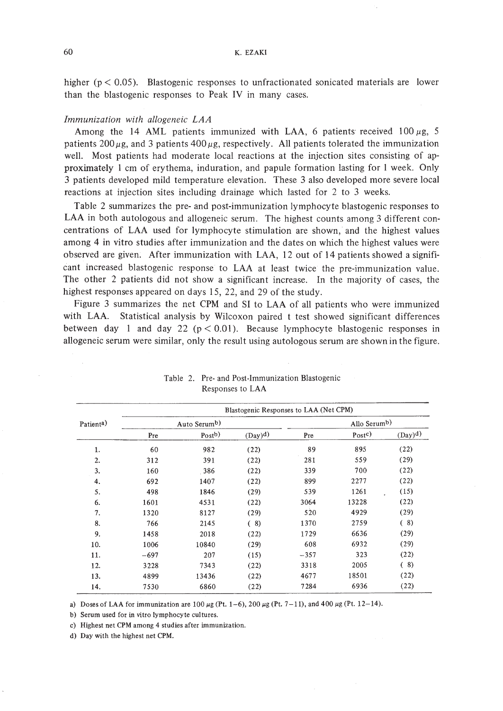higher ( $p < 0.05$ ). Blastogenic responses to unfractionated sonicated materials are lower than the blastogenic responses to Peak IV in many cases.

### *Immunization with allogeneic LAA*

Among the 14 AML patients immunized with LAA, 6 patients received  $100 \mu$ g, 5 patients  $200 \mu$ g, and 3 patients  $400 \mu$ g, respectively. All patients tolerated the immunization well. Most patients had moderate local reactions at the injection sites consisting of approximately I cm of erythema, induration, and papule formation lasting for I week. Only 3 patients developed mild temperature elevation. These 3 also developed more severe local reactions at injection sites including drainage which lasted for 2 to 3 weeks.

Table 2 summarizes the pre- and post-immunization lymphocyte blastogenic responses to LAA in both autologous and allogeneic serum. The highest counts among 3 different concentrations of LAA used for lymphocyte stimulation are shown, and the highest values among 4 in vitro studies after immunization and the dates on which the highest values were observed are given. After immunization with LAA, 12 out of 14 patients showed a significant increased blastogenic response to LAA at least twice the pre-immunization value. The other 2 patients did not show a significant increase. In the majority of cases, the highest responses appeared on days 15, 22, and 29 of the study.

Figure 3 summarizes the net CPM and SI to LAA of all patients who were immunized with LAA. Statistical analysis by Wilcoxon paired t test showed significant differences between day 1 and day 22 ( $p < 0.01$ ). Because lymphocyte blastogenic responses in allogeneic serum were similar, only the result using autologous serum are shown in the figure.

|                        | Blastogenic Responses to LAA (Net CPM) |                   |           |              |                     |           |  |  |
|------------------------|----------------------------------------|-------------------|-----------|--------------|---------------------|-----------|--|--|
| Patient <sup>a</sup> ) | Auto Serumb)                           |                   |           | Allo Serumb) |                     |           |  |  |
|                        | Pre                                    | Post <sup>b</sup> | $(Day)^d$ | Pre          | $P_{\text{Ost}}(c)$ | $(Day)^d$ |  |  |
| 1.                     | 60                                     | 982               | (22)      | 89           | 895                 | (22)      |  |  |
| 2.                     | 312                                    | 391               | (22)      | 281          | 559                 | (29)      |  |  |
| 3.                     | 160                                    | 386               | (22)      | 339          | 700                 | (22)      |  |  |
| 4.                     | 692                                    | 1407              | (22)      | 899          | 2277                | (22)      |  |  |
| 5.                     | 498                                    | 1846              | (29)      | 539          | 1261                | (15)      |  |  |
| 6.                     | 1601                                   | 4531              | (22)      | 3064         | 13228               | (22)      |  |  |
| 7.                     | 1320                                   | 8127              | (29)      | 520          | 4929                | (29)      |  |  |
| 8.                     | 766                                    | 2145              | (8)       | 1370         | 2759                | (8)       |  |  |
| 9.                     | 1458                                   | 2018              | (22)      | 1729         | 6636                | (29)      |  |  |
| 10.                    | 1006                                   | 10840             | (29)      | 608          | 6932                | (29)      |  |  |
| 11.                    | $-697$                                 | 207               | (15)      | $-357$       | 323                 | (22)      |  |  |
| 12.                    | 3228                                   | 7343              | (22)      | 3318         | 2005                | (8)       |  |  |
| 13.                    | 4899                                   | 13436             | (22)      | 4677         | 18501               | (22)      |  |  |
| 14.                    | 7530                                   | 6860              | (22)      | 7284         | 6936                | (22)      |  |  |

Table 2. Pre- and Post-Immunization Blastogenic Responses to LAA

a) Doses of LAA for immunization are 100  $\mu$ g (Pt. 1-6), 200  $\mu$ g (Pt. 7-11), and 400  $\mu$ g (Pt. 12-14).

b) Serum used for in vitro lymphocyte cultures.

c) Highest net CPM among 4 studies after immunization.

d) Day with the highest net CPM.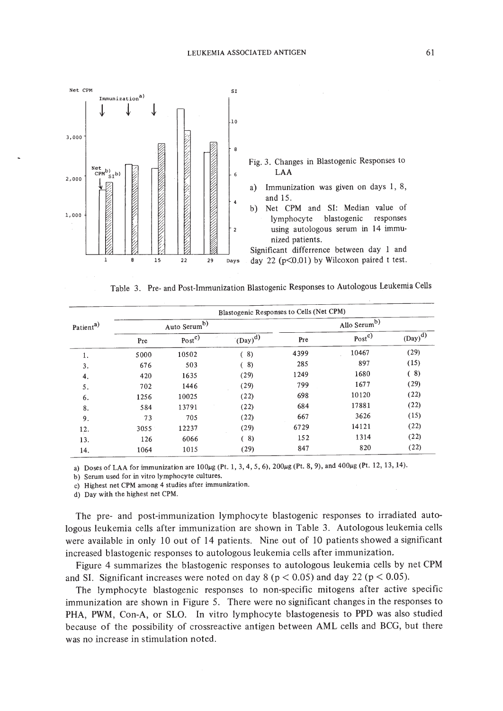

Table 3. Pre- and Post-Immunization Blastogenic Responses to Autologous Leukemia Cells

|                       | Blastogenic Responses to Cells (Net CPM) |                   |             |                          |                   |           |  |  |
|-----------------------|------------------------------------------|-------------------|-------------|--------------------------|-------------------|-----------|--|--|
| Patient <sup>a)</sup> | Auto Serum <sup>b)</sup>                 |                   |             | Allo Serum <sup>b)</sup> |                   |           |  |  |
|                       | Pre                                      | Post <sup>c</sup> | $(Day)^{d}$ | Pre                      | Post <sup>c</sup> | $(Day)^d$ |  |  |
| 1.                    | 5000                                     | 10502             | (8)         | 4399                     | 10467             | (29)      |  |  |
| 3.                    | 676                                      | 503               | (8)         | 285                      | 897               | (15)      |  |  |
| 4.                    | 420                                      | 1635              | (29)        | 1249                     | 1680              | (8)       |  |  |
| 5.                    | 702                                      | 1446              | (29)        | 799                      | 1677              | (29)      |  |  |
| 6.                    | 1256                                     | 10025             | (22)        | 698                      | 10120             | (22)      |  |  |
| 8.                    | 584                                      | 13791             | (22)        | 684                      | 17881             | (22)      |  |  |
| 9.                    | 73                                       | 705               | (22)        | 667                      | 3626              | (15)      |  |  |
| 12.                   | 3055                                     | 12237             | (29)        | 6729                     | 14121             | (22)      |  |  |
| 13.                   | 126                                      | 6066              | 8)<br>€     | 152                      | 1314              | (22)      |  |  |
| 14.                   | 1064                                     | 1015              | (29)        | 847                      | 820               | (22)      |  |  |

a) Doses of LAA for immunization are  $100\mu$ g (Pt. 1, 3, 4, 5, 6),  $200\mu$ g (Pt. 8, 9), and  $400\mu$ g (Pt. 12, 13, 14).

b) Serum used for in vitro lymphocyte cultures.

c) Highest netCPM among 4 studies after immunization.

d) Day with the highest net CPM.

The pre- and post-immunization lymphocyte blastogenic responses to irradiated autologous leukemia cells after immunization are shown in Table 3. Autologous leukemia cells were available in only 10 out of 14 patients. Nine out of 10 patients showed a significant increased blastogenic responses to autologous leukemia cells after immunization,

Figure 4 summarizes the blastogenic responses to autologous leukemia cells by net CPM and SI. Significant increases were noted on day  $8 (p < 0.05)$  and day 22 ( $p < 0.05$ ).

The lymphocyte blastogenic responses to non-specific mitogens after active specific immunization are shown in Figure 5. There were no significant changes in the responses to PHA, PWM, Con-A, or SLO. In vitro lymphocyte blastogenesis to PPD was also studied because of the possibility of crossreactive antigen between AML cells and BCG, but there was no increase in stimulation noted.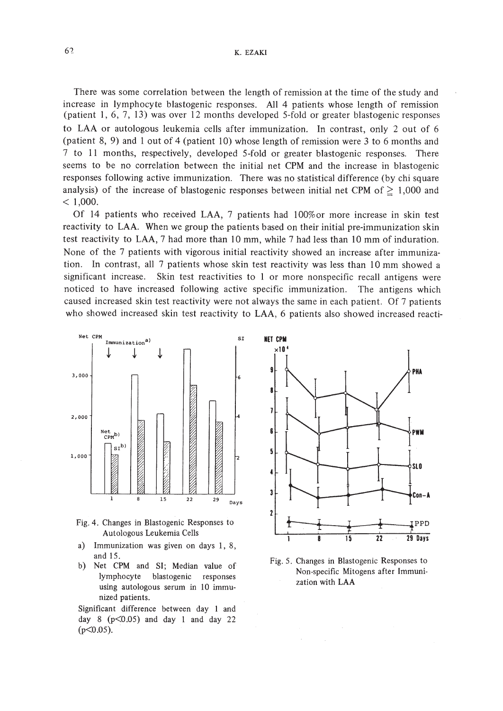There was some correlation between the length of remission at the time of the study and increase in lymphocyte blastogenic responses. All 4 patients whose length of remission (patient 1, 6, 7, 13) was over 12 months developed 5-fold or greater blastogenic responses to LAA or autologous leukemia cells after immunization. In contrast, orily 2 out of 6 (patient 8, 9) and lout of 4 (patient 10) whose length of remission were 3 to 6 months and 7 to 11 months, respectively, developed 5-fold or greater blastogenic responses. There seems to be no correlation between the initial net CPM and the increase in blastogenic responses following active immunization. There was no statistical difference (by chi square analysis) of the increase of blastogenic responses between initial net CPM of  $\geq 1,000$  and  $< 1,000.$ 

Of 14 patients who received LAA, 7 patients had 100%or more increase in skin test reactivity to LAA. When we group the patients based on their initial pre-immunization skin test reactivity to LAA, 7 had more than 10 mm, while 7 had less than 10 mm of induration. None of the 7 patients with vigorous initial reactivity showed an increase after immunization. In contrast, all 7 patients whose skin test reactivity was less than 10 mm showed a significant increase. Skin test reactivities to I or more nonspecific recall antigens were noticed to have increased following active specific immunization. The antigens which caused increased skin test reactivity were not always the same in each patient. Of 7 patients who showed increased skin test reactivity to LAA, 6 patients also showed increased reacti-





- a) Immunization was given on days I, 8, and 15.
- b) Net CPM and SI; Median value of lymphocyte blastogenic responses using autologous serum in 10 immunized patients.

Significant difference between day I and day 8 ( $p<0.05$ ) and day 1 and day 22  $(p<0.05)$ .



Fig. 5. Changes in Blastogenic Responses to Non-specific Mitogens after Immunization with LAA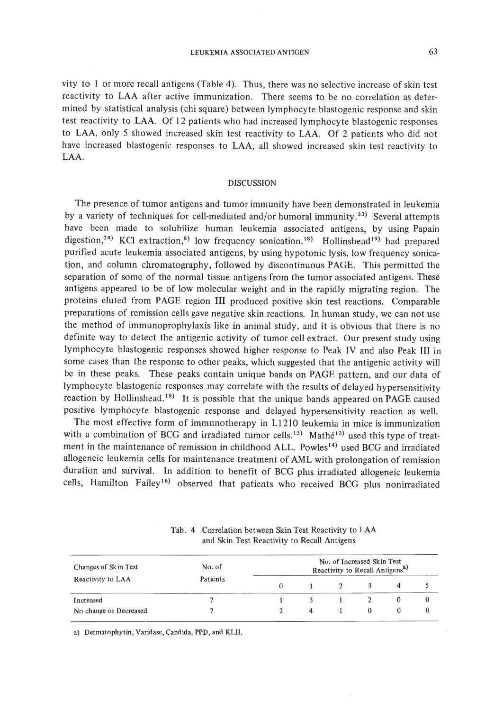vity to I or more recall antigens (Table 4). Thus, there was no selective increase of skin test reactivity to LAA after active immunization. There seems to be no correlation as determined by statistical analysis (chi square) between lymphocyte blastogenic response and skin test reactivity to LAA. Of 12 patients who had increased lymphocyte blastogenic responses to LAA, only 5 showed increased skin test reactivity to LAA. Of 2 patients who did not have increased blastogenic responses to LAA, all showed increased skin test reactivity to LAA.

### DISCUSSION

The presence of tumor antigens and tumor immunity have been demonstrated in leukemia by a variety of techniques for cell-mediated and/or humoral immunity.<sup>23)</sup> Several attempts have been made to solubilize human leukemia associated antigens, by using Papain digestion,<sup>24)</sup> KCl extraction,<sup>8)</sup> low frequency sonication.<sup>18)</sup> Hollinshead<sup>19)</sup> had prepared purified acute leukemia associated antigens, by using hypotonic lysis, low frequency sonication, and column chromatography, followed by discontinuous PAGE. This permitted the separation of some of the normal tissue antigens from the tumor associated antigens. These antigens appeared to be of low molecular weight and in the rapidly migrating region. The proteins eluted from PAGE region **III** produced positive skin test reactions. Comparable preparations of remission cells gave negative skin reactions. **In** human study, we can not use the method of immunoprophylaxis like in animal study, and it is obvious that there is no definite way to detect the antigenic activity of tumor cell extract. Our present study using lymphocyte blastogenic responses showed higher response to Peak IV and also Peak III in some cases than the response to other peaks, which suggested that the antigenic activity will be in these peaks. These peaks contain unique bands on PAGE pattern, and our data of lymphocyte blastogenic responses may correlate with the results of delayed hypersensitivity reaction by Hollinshead.<sup>19)</sup> It is possible that the unique bands appeared on PAGE caused positive lymphocyte blastogenic response and delayed hypersensitivity reaction as well.

The most effective form of immunotherapy in LI210 leukemia in mice is immunization with a combination of BCG and irradiated tumor cells.<sup>13)</sup> Mathé<sup>13</sup> used this type of treatment in the maintenance of remission in childhood ALL. Powles<sup>14)</sup> used BCG and irradiated allogeneic leukemia cells for maintenance treatment of AML with prolongation of remission duration and survival. **In** addition to benefit of BCG plus irradiated allogeneic leukemia cells, Hamilton Failey<sup>16)</sup> observed that patients who received BCG plus nonirradiated

| Changes of Skin Test   | No. of<br><b>Patients</b> | No. of Increased Skin Test<br>Reactivity to Recall Antigens <sup>a)</sup> |  |  |  |  |  |  |
|------------------------|---------------------------|---------------------------------------------------------------------------|--|--|--|--|--|--|
| Reactivity to LAA      |                           |                                                                           |  |  |  |  |  |  |
| Increased              |                           |                                                                           |  |  |  |  |  |  |
| No change or Decreased |                           |                                                                           |  |  |  |  |  |  |

Tab. 4 Correlation between Skin Test Reactivity to LAA and Skin Test Reactivity to Recall Antigens

a) Dermatophytin, Varidase, Candida, PPD, and KLH.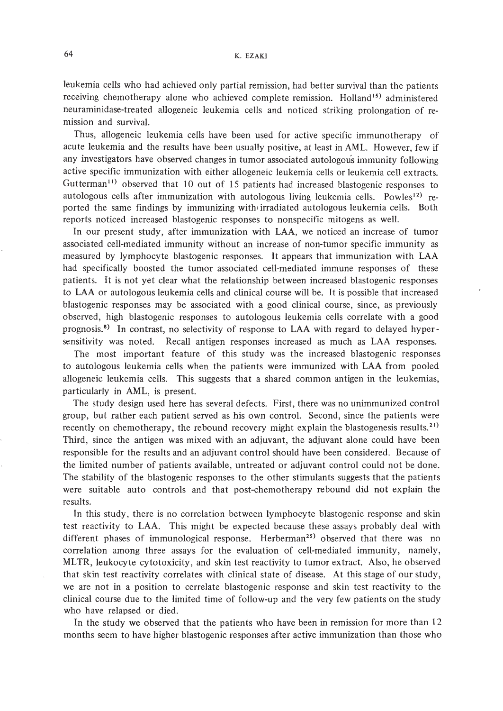leukemia cells who had achieved only partial remission, had better survival than the patients receiving chemotherapy alone who achieved complete remission. Holland<sup>15)</sup> administered neuraminidase-treated allogeneic leukemia cells and noticed striking prolongation of remission and survival.

Thus, allogeneic leukemia cells have been used for active specific immunotherapy of acute leukemia and the results have been usually positive, at least in AML. However, few if any investigators have observed changes in tumor associated autologous immunity following active specific immunization with either allogeneic leukemia cells or leukemia cell extracts. Gutterman<sup>11)</sup> observed that 10 out of 15 patients had increased blastogenic responses to autologous cells after immunization with autologous living leukemia cells. Powles<sup>12</sup> reported the same findings by immunizing with irradiated autologous leukemia cells. Both reports noticed increased blastogenic responses to nonspecific mitogens as well.

**In** our present study, after immunization with LAA, we noticed an increase of tumor associated cell-mediated immunity without an increase of non-tumor specific immunity as measured by lymphocyte blastogenic responses. It appears that immunization with LAA had specifically boosted the tumor associated cell-mediated immune responses of these patients. It is not yet clear what the relationship between increased blastogenic responses to LAA or autologous leukemia cells and clinical course will be. It is possible that increased blastogenic responses may be associated with a good clinical course, since, as previously observed, high blastogenic responses to autologous leukemia cells correlate with a good prognosis.<sup>8)</sup> In contrast, no selectivity of response to LAA with regard to delayed hypersensitivity was noted. Recall antigen responses increased as much as LAA responses.

The most important feature of this study was the increased blastogenic responses to autologous leukemia cells when the patients were immunized with LAA from pooled allogeneic leukemia cells. This suggests that a shared common antigen in the leukemias, particularly in AML, is present.

The study design used here has several defects. First, there was no unimmunized control group, but rather each patient served as his own control. Second, since the patients were recently on chemotherapy, the rebound recovery might explain the blastogenesis results.<sup>21)</sup> Third, since the antigen was mixed with an adjuvant, the adjuvant alone could have been responsible for the results and an adjuvant control should have been considered. Because of the limited number of patients available, untreated or adjuvant control could not be done. The stability of the blastogenic responses to the other stimulants suggests that the patients were suitable auto controls and that post-chemotherapy rebound did not explain the results.

**In** this study, there is no correlation between lymphocyte blastogenic response and skin test reactivity to LAA. This might be expected because these assays probably deal with different phases of immunological response. Herberman<sup>25)</sup> observed that there was no correlation among three assays for the evaluation of cell-mediated immunity, namely, MLTR, leukocyte cytotoxicity, and skin test reactivity to tumor extract. Also, he observed that skin test reactivity correlates with clinical state of disease. At this stage of our study, we are not in a position to cerrelate blastogenic response and skin test reactivity to the clinical course due to the limited time of follow-up and the very few patients on the study who have relapsed or died.

**In** the study we observed that the patients who have been in remission for more than 12 months seem to have higher blastogenic responses after active immunization than those who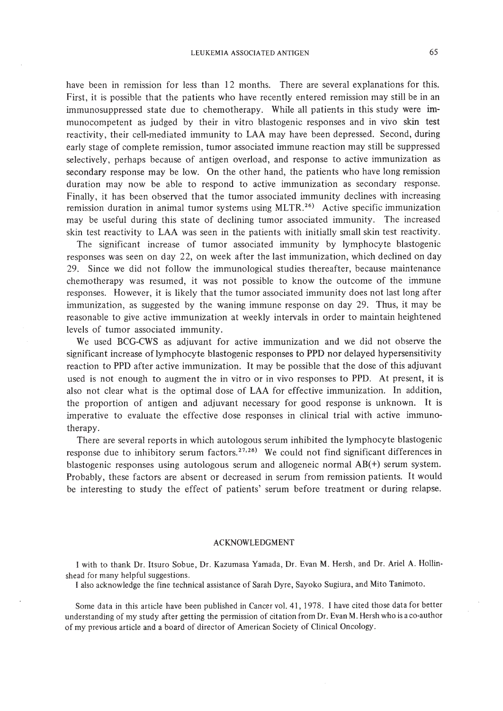have been in remission for less than 12 months. There are several explanations for this. First, it is possible that the patients who have recently entered remission may still be in an immunosuppressed state due to chemotherapy. While all patients in this study were immunocompetent as judged by their in vitro blastogenic responses and in vivo skin test reactivity, their cell-mediated immunity to LAA may have been depressed. Second, during early stage of complete remission, tumor associated immune reaction may still be suppressed selectively, perhaps because of antigen overload, and response to active immunization as secondary response may be low. On the other hand, the patients who have long remission duration may now be able to respond to active immunization as secondary response. Finally, it has been observed that the tumor associated immunity declines with increasing remission duration in animal tumor systems using  $MLTR$ <sup>26</sup> Active specific immunization may be useful during this state of declining tumor associated immunity. The increased skin test reactivity to LAA was seen in the patients with initially small skin test reactivity.

The significant increase of tumor associated immunity by lymphocyte blastogenic responses was seen on day 22, on week after the last immunization, which declined on day 29. Since we did not follow the immunological studies thereafter, because maintenance chemotherapy was resumed, it was not possible to know the outcome of the immune responses. However, it is likely that the tumor associated immunity does not last long after immunization, as suggested by the waning immune response on day 29. Thus, it may be reasonable to give active immunization at weekly intervals in order to maintain heightened levels of tumor associated immunity.

We used BCG-CWS as adjuvant for active immunization and we did not observe the significant increase oflymphocyte blastogenic responses to PPD nor delayed hypersensitivity reaction to PPD after active immunization. It may be possible that the dose of this adjuvant used is not enough to augment the in vitro or in vivo responses to PPD. At present, it is also not clear what is the optimal dose of LAA for effective immunization. In addition, the proportion of antigen and adjuvant necessary for good response is unknown. It is imperative to evaluate the effective dose responses in clinical trial with active immunotherapy.

There are several reports in which autologous serum inhibited the lymphocyte blastogenic response due to inhibitory serum factors.<sup>27,28)</sup> We could not find significant differences in blastogenic responses using autologous serum and allogeneic normal AB(+) serum system. Probably, these factors are absent or decreased in serum from remission patients. It would be interesting to study the effect of patients' serum before treatment or during relapse.

#### ACKNOWLEDGMENT

I with to thank Dr. Itsuro Sobue, Dr. Kazumasa Yamada, Dr. Evan M. Hersh, and Dr. Ariel A. Hollinshead for many helpful suggestions.

I also acknowledge the fine technical assistance of Sarah Dyre, Sayoko Sugiura, and Mito Tanimoto.

Some data in this article have been published in Cancer vol. 41, 1978. I have cited those data for better understanding of my study after getting the permission of citation from Dr. Evan M. Hersh who is a co-author of my previous article and a board of director of American Society of Clinical Oncology.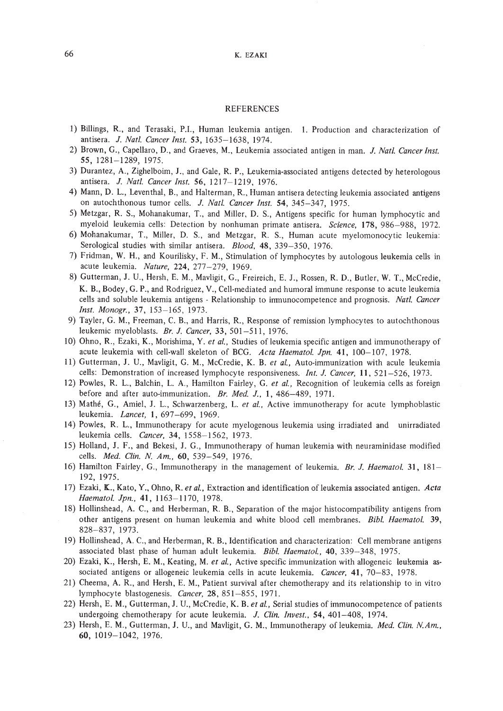#### REFERENCES

- 1) Billings, R., and Terasaki, P.l., Human leukemia antigen. 1. Production and characterization of antisera. *J. Nati. Cancer Inst.* 53, 1635-1638, 1974.
- 2) Brown, G., Capellaro, D., and Graeves, M., Leukemia associated antigen in man. *J. Nat!. Cancer Insf.* 55, 1281-1289, 1975.
- 3) Durantez, A., Zighelboim, J., and Gale, R. P., Leukemia-associated antigens detected by heterologous antisera. *J. Natl. Cancer Inst.* 56, 1217-1219, 1976.
- 4) Mann, D. L., Leventhal, B., and Halterman, R., Human antisera detecting leukemia associated antigens on autochthonous tumor cells. *J. Natl. Cancer Inst.* 54, 345-347, 1975.
- 5) Metzgar, R. S., Mohanakumar, T., and Miller, D. S., Antigens specific for human lymphocytic and myeloid leukemia cells: Detection by nonhuman primate antisera. *Science,* 178, 986-988, 1972.
- 6) Mohanakumar, T., Miller, D. S., and Metzgar, R. S., Human acute myelomonocytic leukemia: Serological studies with similar antisera. *Biood,* 48, 339-350, 1976.
- 7) Fridman, W. H., and Kourilisky, F. M., Stimulation of lymphocytes by autologous leukemia cells in acute leukemia. *Nature,* 224, 277-279, 1969.
- 8) Gutterman, J. U., Hersh, E. M., Mavligit, G., Freireich, E. J., Rossen, R. D., Butler, W. T., McCredie, K. B., Bodey, G. P., and Rodriguez, V., Cell-mediated and humoral immune response to acute leukemia cells and soluble leukemia antigens - Relationship to imnunocompetence and prognosis. *Natl. Cancer Inst. Monogr.,* 37, 153-165, 1973.
- 9) Tayler, G. M., Freeman, C. B., and Harris, R., Response of remission lymphocytes to autochthonous leukemic myeloblasts. *Br. J. Cancer,* 33, 501-511, 1976.
- 10) Ohno, R., Ezaki, K., Morishima, Y. *et ai.,* Studies of leukemia specific antigen and immunotherapy of acute leukemia with cell-wall skeleton of BCG. *Acta Haematol. Jpn.* 41, 100-107, 1978.
- 11) Gutterman, J. U., Mavligit, G. M., McCredie, K. B. *et ai.,* Auto-immunization with acule leukemia cells: Demonstration of increased lymphocyte responsiveness. *Int.* J. *Cancer,* **II,** 521-526, 1973.
- 12) Powles, R. L., Balchin, L. A., Hamilton Fairley, G. *et ai.,* Recognition of leukemia cells as foreign before and after auto-immunization. *Br. Med.* J., **1,486-489,** 1971.
- 13) Mathe, G., Amiel, J. L., Schwarzenberg, L. *et ai.,* Active immunotherapy for acute lymphoblastic leukemia. *Lancet,* I, 697-699, 1969.
- 14) Powles, R. L., Immunotherapy for acute myelogenous leukemia using irradiated and unirradiated leukemia cells. *Cancer,* 34, 1558-1562, 1973.
- 15) Holland, J. F., and Bekesi, 1. G., Immunotherapy of human leukemia with neuraminidase modified cells. *Med. Clin. N. Am.,* 60, 539-549, 1976.
- 16) Hamilton Fairley, G., Immunotherapy in the management of leukemia. *Br. J. Haematoi.* 31, 181- 192, 1975.
- 17) Ezaki, K., Kato, Y., Ohno, R. et al., Extraction and identification of leukemia associated antigen. Acta *Haematoi. Jpn.,* 41, 1163-1170, 1978.
- 18) Hollinshead, A. C., and Herberman, R. B., Separation of the major histocompatibility antigens from other antigens present on human leukemia and white blood cell membranes. *Bibi. Haematol. 39,* 828-837, 1973.
- 19) Hollinshead, A. C., and Herberman, R. B., Identification and characterization: Cell membrane antigens associated blast phase of human adult leukemia. *Bibi. Haematoi.,* 40, 339-348, 1975.
- 20) Ezaki, K., Hersh, E. M., Keating, M. *et ai.,* Active specific immunization with allogeneic leukemia associated antigens or allogeneic leukemia cells in acute leukemia. *Cancer,* **41,** 70-83, 1978.
- 21) Cheema, A. R., and Hersh, E. M., Patient survival after chemotherapy and its relationship to in vitro lymphocyte blastogenesis. *Cancer,* 28, 851-855, 1971.
- 22) Hersh, E. M., Gutterman, J. U., McCredie, K. B. *et ai.,* Serial studies of immunocompetence of patients undergoing chemotherapy for acute leukemia. *J. Clin. Invest.,* 54, 401-408, 1974.
- 23) Hersh, E. M., Gutterman, J. U., and Mavligit, G. M., Immunotherapy of leukemia. *Med. Clin. NAm.,* 60, 1019-1042, 1976.